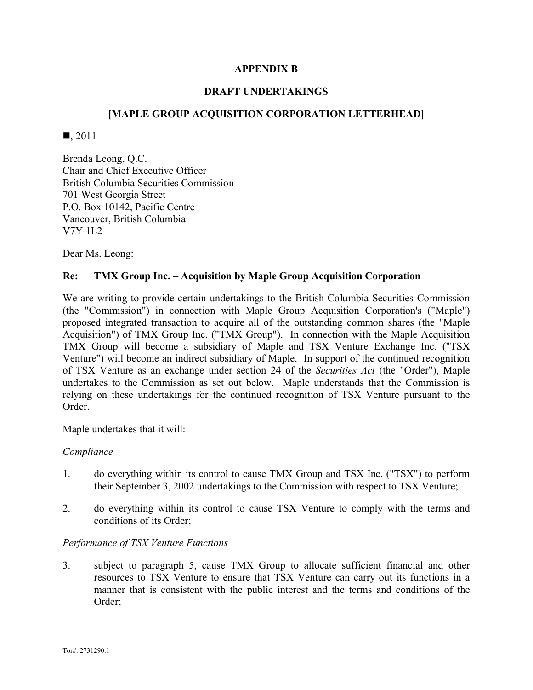# **APPENDIX B**

## **DRAFT UNDERTAKINGS**

# **[MAPLE GROUP ACQUISITION CORPORATION LETTERHEAD]**

 $\blacksquare$ , 2011

Brenda Leong, Q.C. Chair and Chief Executive Officer British Columbia Securities Commission 701 West Georgia Street P.O. Box 10142, Pacific Centre Vancouver, British Columbia V7Y 1L2

Dear Ms. Leong:

## **Re: TMX Group Inc. – Acquisition by Maple Group Acquisition Corporation**

We are writing to provide certain undertakings to the British Columbia Securities Commission (the "Commission") in connection with Maple Group Acquisition Corporation's ("Maple") proposed integrated transaction to acquire all of the outstanding common shares (the "Maple Acquisition") of TMX Group Inc. ("TMX Group"). In connection with the Maple Acquisition TMX Group will become a subsidiary of Maple and TSX Venture Exchange Inc. ("TSX Venture") will become an indirect subsidiary of Maple. In support of the continued recognition of TSX Venture as an exchange under section 24 of the *Securities Act* (the "Order"), Maple undertakes to the Commission as set out below. Maple understands that the Commission is relying on these undertakings for the continued recognition of TSX Venture pursuant to the Order.

Maple undertakes that it will:

### *Compliance*

- 1. do everything within its control to cause TMX Group and TSX Inc. ("TSX") to perform their September 3, 2002 undertakings to the Commission with respect to TSX Venture;
- 2. do everything within its control to cause TSX Venture to comply with the terms and conditions of its Order;

## *Performance of TSX Venture Functions*

3. subject to paragraph 5, cause TMX Group to allocate sufficient financial and other resources to TSX Venture to ensure that TSX Venture can carry out its functions in a manner that is consistent with the public interest and the terms and conditions of the Order;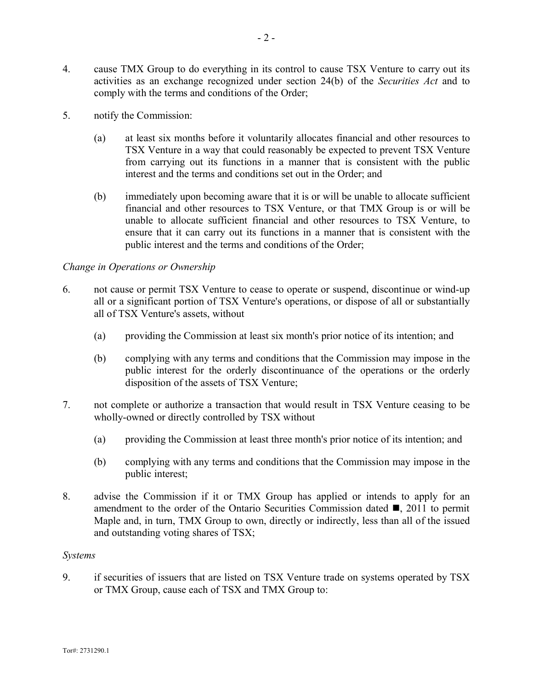- 4. cause TMX Group to do everything in its control to cause TSX Venture to carry out its activities as an exchange recognized under section 24(b) of the *Securities Act* and to comply with the terms and conditions of the Order;
- 5. notify the Commission:
	- (a) at least six months before it voluntarily allocates financial and other resources to TSX Venture in a way that could reasonably be expected to prevent TSX Venture from carrying out its functions in a manner that is consistent with the public interest and the terms and conditions set out in the Order; and
	- (b) immediately upon becoming aware that it is or will be unable to allocate sufficient financial and other resources to TSX Venture, or that TMX Group is or will be unable to allocate sufficient financial and other resources to TSX Venture, to ensure that it can carry out its functions in a manner that is consistent with the public interest and the terms and conditions of the Order;

### *Change in Operations or Ownership*

- 6. not cause or permit TSX Venture to cease to operate or suspend, discontinue or wind-up all or a significant portion of TSX Venture's operations, or dispose of all or substantially all of TSX Venture's assets, without
	- (a) providing the Commission at least six month's prior notice of its intention; and
	- (b) complying with any terms and conditions that the Commission may impose in the public interest for the orderly discontinuance of the operations or the orderly disposition of the assets of TSX Venture;
- 7. not complete or authorize a transaction that would result in TSX Venture ceasing to be wholly-owned or directly controlled by TSX without
	- (a) providing the Commission at least three month's prior notice of its intention; and
	- (b) complying with any terms and conditions that the Commission may impose in the public interest;
- 8. advise the Commission if it or TMX Group has applied or intends to apply for an amendment to the order of the Ontario Securities Commission dated  $\blacksquare$ , 2011 to permit Maple and, in turn, TMX Group to own, directly or indirectly, less than all of the issued and outstanding voting shares of TSX;

### *Systems*

9. if securities of issuers that are listed on TSX Venture trade on systems operated by TSX or TMX Group, cause each of TSX and TMX Group to: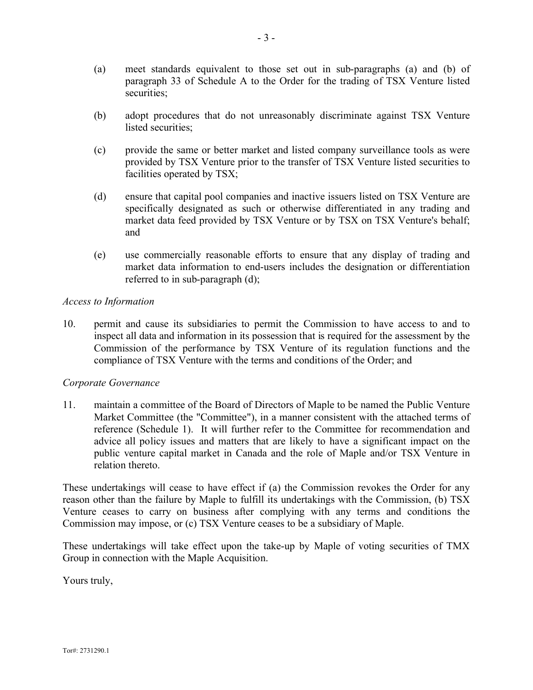- (a) meet standards equivalent to those set out in sub-paragraphs (a) and (b) of paragraph 33 of Schedule A to the Order for the trading of TSX Venture listed securities;
- (b) adopt procedures that do not unreasonably discriminate against TSX Venture listed securities;
- (c) provide the same or better market and listed company surveillance tools as were provided by TSX Venture prior to the transfer of TSX Venture listed securities to facilities operated by TSX;
- (d) ensure that capital pool companies and inactive issuers listed on TSX Venture are specifically designated as such or otherwise differentiated in any trading and market data feed provided by TSX Venture or by TSX on TSX Venture's behalf; and
- (e) use commercially reasonable efforts to ensure that any display of trading and market data information to end-users includes the designation or differentiation referred to in sub-paragraph (d);

## *Access to Information*

10. permit and cause its subsidiaries to permit the Commission to have access to and to inspect all data and information in its possession that is required for the assessment by the Commission of the performance by TSX Venture of its regulation functions and the compliance of TSX Venture with the terms and conditions of the Order; and

## *Corporate Governance*

11. maintain a committee of the Board of Directors of Maple to be named the Public Venture Market Committee (the "Committee"), in a manner consistent with the attached terms of reference (Schedule 1). It will further refer to the Committee for recommendation and advice all policy issues and matters that are likely to have a significant impact on the public venture capital market in Canada and the role of Maple and/or TSX Venture in relation thereto.

These undertakings will cease to have effect if (a) the Commission revokes the Order for any reason other than the failure by Maple to fulfill its undertakings with the Commission, (b) TSX Venture ceases to carry on business after complying with any terms and conditions the Commission may impose, or (c) TSX Venture ceases to be a subsidiary of Maple.

These undertakings will take effect upon the take-up by Maple of voting securities of TMX Group in connection with the Maple Acquisition.

Yours truly,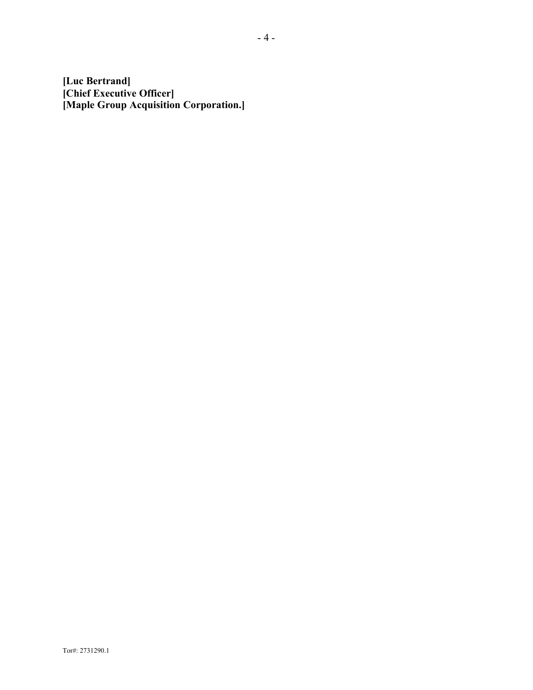**[Luc Bertrand] [Chief Executive Officer] [Maple Group Acquisition Corporation.]**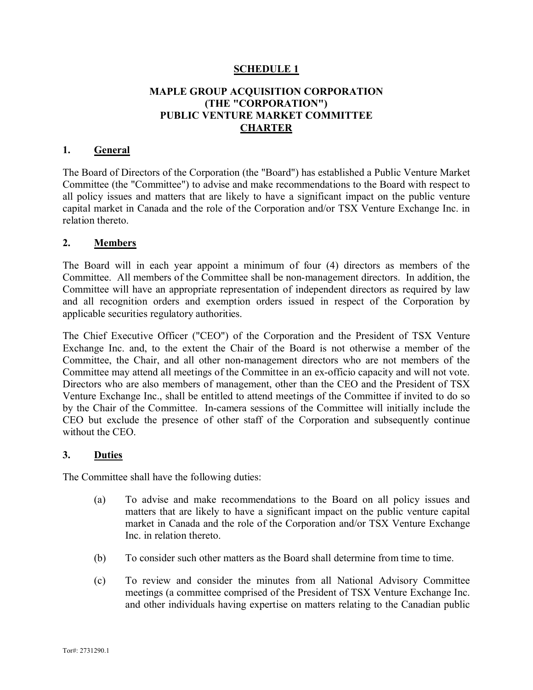# **SCHEDULE 1**

# **MAPLE GROUP ACQUISITION CORPORATION (THE "CORPORATION") PUBLIC VENTURE MARKET COMMITTEE CHARTER**

### **1. General**

The Board of Directors of the Corporation (the "Board") has established a Public Venture Market Committee (the "Committee") to advise and make recommendations to the Board with respect to all policy issues and matters that are likely to have a significant impact on the public venture capital market in Canada and the role of the Corporation and/or TSX Venture Exchange Inc. in relation thereto.

### **2. Members**

The Board will in each year appoint a minimum of four (4) directors as members of the Committee. All members of the Committee shall be non-management directors. In addition, the Committee will have an appropriate representation of independent directors as required by law and all recognition orders and exemption orders issued in respect of the Corporation by applicable securities regulatory authorities.

The Chief Executive Officer ("CEO") of the Corporation and the President of TSX Venture Exchange Inc. and, to the extent the Chair of the Board is not otherwise a member of the Committee, the Chair, and all other non-management directors who are not members of the Committee may attend all meetings of the Committee in an ex-officio capacity and will not vote. Directors who are also members of management, other than the CEO and the President of TSX Venture Exchange Inc., shall be entitled to attend meetings of the Committee if invited to do so by the Chair of the Committee. In-camera sessions of the Committee will initially include the CEO but exclude the presence of other staff of the Corporation and subsequently continue without the CEO.

## **3. Duties**

The Committee shall have the following duties:

- (a) To advise and make recommendations to the Board on all policy issues and matters that are likely to have a significant impact on the public venture capital market in Canada and the role of the Corporation and/or TSX Venture Exchange Inc. in relation thereto.
- (b) To consider such other matters as the Board shall determine from time to time.
- (c) To review and consider the minutes from all National Advisory Committee meetings (a committee comprised of the President of TSX Venture Exchange Inc. and other individuals having expertise on matters relating to the Canadian public